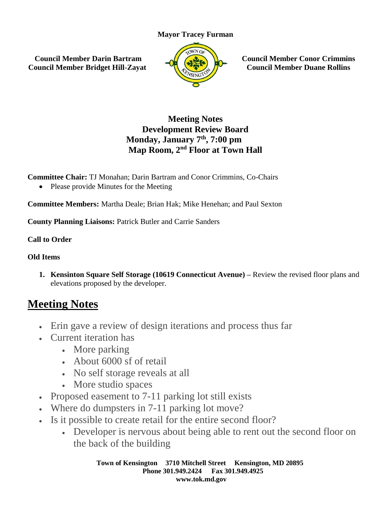## **Mayor Tracey Furman**

**Council Member Darin Bartram Council Member Bridget Hill-Zayat**



**Council Member Conor Crimmins Council Member Duane Rollins**

## **Meeting Notes Development Review Board Monday, January 7th, 7:00 pm Map Room, 2nd Floor at Town Hall**

**Committee Chair:** TJ Monahan; Darin Bartram and Conor Crimmins, Co-Chairs

• Please provide Minutes for the Meeting

**Committee Members:** Martha Deale; Brian Hak; Mike Henehan; and Paul Sexton

**County Planning Liaisons:** Patrick Butler and Carrie Sanders

**Call to Order**

## **Old Items**

**1. Kensinton Square Self Storage (10619 Connecticut Avenue) –** Review the revised floor plans and elevations proposed by the developer.

## **Meeting Notes**

- Erin gave a review of design iterations and process thus far
- Current iteration has
	- More parking
	- About 6000 sf of retail
	- No self storage reveals at all
	- More studio spaces
- Proposed easement to 7-11 parking lot still exists
- Where do dumpsters in 7-11 parking lot move?
- Is it possible to create retail for the entire second floor?
	- Developer is nervous about being able to rent out the second floor on the back of the building

**Town of Kensington 3710 Mitchell Street Kensington, MD 20895 Phone 301.949.2424 Fax 301.949.4925 www.tok.md.gov**